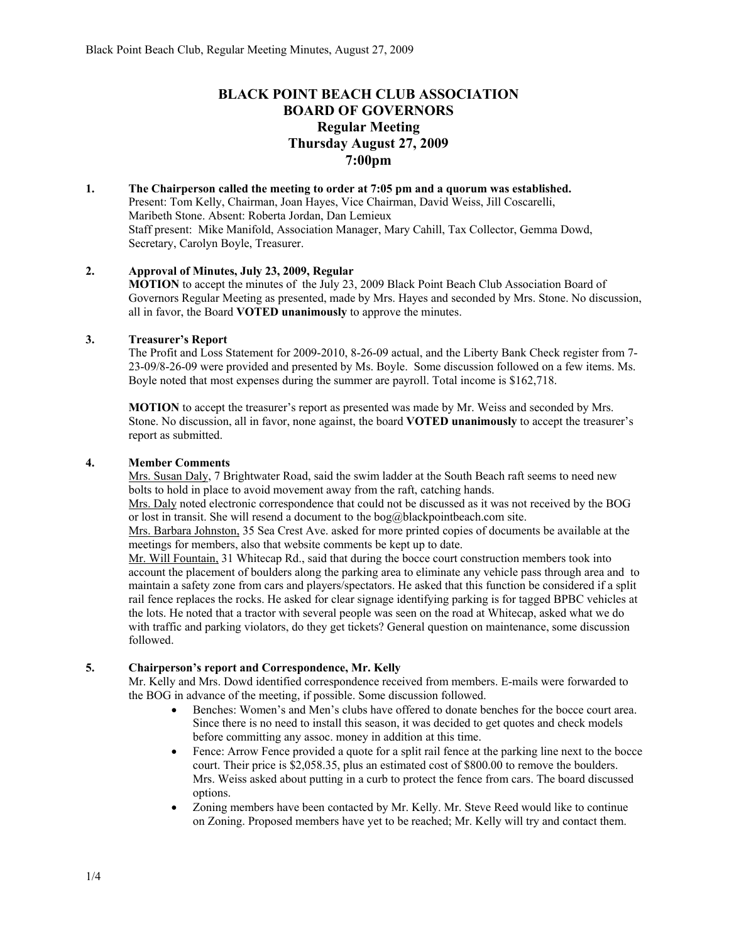# **BLACK POINT BEACH CLUB ASSOCIATION BOARD OF GOVERNORS Regular Meeting Thursday August 27, 2009 7:00pm**

#### **1. The Chairperson called the meeting to order at 7:05 pm and a quorum was established.**  Present: Tom Kelly, Chairman, Joan Hayes, Vice Chairman, David Weiss, Jill Coscarelli, Maribeth Stone. Absent: Roberta Jordan, Dan Lemieux Staff present: Mike Manifold, Association Manager, Mary Cahill, Tax Collector, Gemma Dowd, Secretary, Carolyn Boyle, Treasurer.

### **2. Approval of Minutes, July 23, 2009, Regular**

**MOTION** to accept the minutes of the July 23, 2009 Black Point Beach Club Association Board of Governors Regular Meeting as presented, made by Mrs. Hayes and seconded by Mrs. Stone. No discussion, all in favor, the Board **VOTED unanimously** to approve the minutes.

### **3. Treasurer's Report**

The Profit and Loss Statement for 2009-2010, 8-26-09 actual, and the Liberty Bank Check register from 7- 23-09/8-26-09 were provided and presented by Ms. Boyle. Some discussion followed on a few items. Ms. Boyle noted that most expenses during the summer are payroll. Total income is \$162,718.

**MOTION** to accept the treasurer's report as presented was made by Mr. Weiss and seconded by Mrs. Stone. No discussion, all in favor, none against, the board **VOTED unanimously** to accept the treasurer's report as submitted.

#### **4. Member Comments**

Mrs. Susan Daly, 7 Brightwater Road, said the swim ladder at the South Beach raft seems to need new bolts to hold in place to avoid movement away from the raft, catching hands.

Mrs. Daly noted electronic correspondence that could not be discussed as it was not received by the BOG or lost in transit. She will resend a document to the bog@blackpointbeach.com site.

Mrs. Barbara Johnston, 35 Sea Crest Ave. asked for more printed copies of documents be available at the meetings for members, also that website comments be kept up to date.

Mr. Will Fountain, 31 Whitecap Rd., said that during the bocce court construction members took into account the placement of boulders along the parking area to eliminate any vehicle pass through area and to maintain a safety zone from cars and players/spectators. He asked that this function be considered if a split rail fence replaces the rocks. He asked for clear signage identifying parking is for tagged BPBC vehicles at the lots. He noted that a tractor with several people was seen on the road at Whitecap, asked what we do with traffic and parking violators, do they get tickets? General question on maintenance, some discussion followed.

### **5. Chairperson's report and Correspondence, Mr. Kelly**

Mr. Kelly and Mrs. Dowd identified correspondence received from members. E-mails were forwarded to the BOG in advance of the meeting, if possible. Some discussion followed.

- Benches: Women's and Men's clubs have offered to donate benches for the bocce court area. Since there is no need to install this season, it was decided to get quotes and check models before committing any assoc. money in addition at this time.
- Fence: Arrow Fence provided a quote for a split rail fence at the parking line next to the bocce court. Their price is \$2,058.35, plus an estimated cost of \$800.00 to remove the boulders. Mrs. Weiss asked about putting in a curb to protect the fence from cars. The board discussed options.
- Zoning members have been contacted by Mr. Kelly. Mr. Steve Reed would like to continue on Zoning. Proposed members have yet to be reached; Mr. Kelly will try and contact them.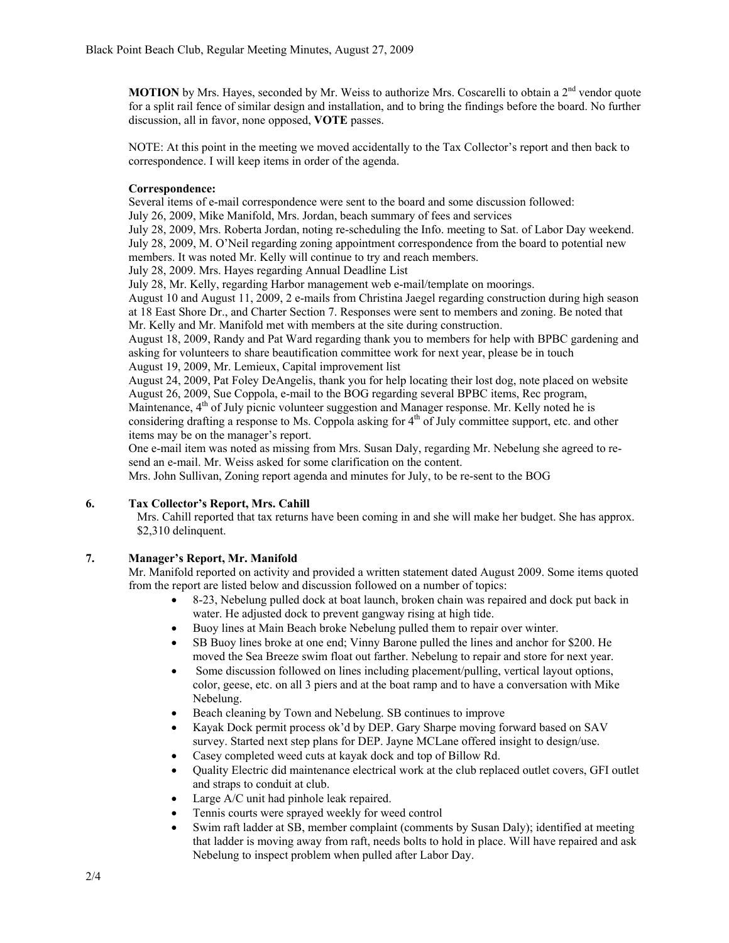**MOTION** by Mrs. Hayes, seconded by Mr. Weiss to authorize Mrs. Coscarelli to obtain a  $2<sup>nd</sup>$  vendor quote for a split rail fence of similar design and installation, and to bring the findings before the board. No further discussion, all in favor, none opposed, **VOTE** passes.

NOTE: At this point in the meeting we moved accidentally to the Tax Collector's report and then back to correspondence. I will keep items in order of the agenda.

#### **Correspondence:**

Several items of e-mail correspondence were sent to the board and some discussion followed:

July 26, 2009, Mike Manifold, Mrs. Jordan, beach summary of fees and services

July 28, 2009, Mrs. Roberta Jordan, noting re-scheduling the Info. meeting to Sat. of Labor Day weekend. July 28, 2009, M. O'Neil regarding zoning appointment correspondence from the board to potential new members. It was noted Mr. Kelly will continue to try and reach members.

July 28, 2009. Mrs. Hayes regarding Annual Deadline List

July 28, Mr. Kelly, regarding Harbor management web e-mail/template on moorings.

August 10 and August 11, 2009, 2 e-mails from Christina Jaegel regarding construction during high season at 18 East Shore Dr., and Charter Section 7. Responses were sent to members and zoning. Be noted that Mr. Kelly and Mr. Manifold met with members at the site during construction.

August 18, 2009, Randy and Pat Ward regarding thank you to members for help with BPBC gardening and asking for volunteers to share beautification committee work for next year, please be in touch August 19, 2009, Mr. Lemieux, Capital improvement list

August 24, 2009, Pat Foley DeAngelis, thank you for help locating their lost dog, note placed on website August 26, 2009, Sue Coppola, e-mail to the BOG regarding several BPBC items, Rec program, Maintenance,  $4<sup>th</sup>$  of July picnic volunteer suggestion and Manager response. Mr. Kelly noted he is considering drafting a response to Ms. Coppola asking for  $4<sup>th</sup>$  of July committee support, etc. and other items may be on the manager's report.

One e-mail item was noted as missing from Mrs. Susan Daly, regarding Mr. Nebelung she agreed to resend an e-mail. Mr. Weiss asked for some clarification on the content.

Mrs. John Sullivan, Zoning report agenda and minutes for July, to be re-sent to the BOG

## **6. Tax Collector's Report, Mrs. Cahill**

Mrs. Cahill reported that tax returns have been coming in and she will make her budget. She has approx. \$2,310 delinquent.

# **7. Manager's Report, Mr. Manifold**

Mr. Manifold reported on activity and provided a written statement dated August 2009. Some items quoted from the report are listed below and discussion followed on a number of topics:

- 8-23, Nebelung pulled dock at boat launch, broken chain was repaired and dock put back in water. He adjusted dock to prevent gangway rising at high tide.
- Buoy lines at Main Beach broke Nebelung pulled them to repair over winter.
- SB Buoy lines broke at one end; Vinny Barone pulled the lines and anchor for \$200. He moved the Sea Breeze swim float out farther. Nebelung to repair and store for next year.
- Some discussion followed on lines including placement/pulling, vertical layout options, color, geese, etc. on all 3 piers and at the boat ramp and to have a conversation with Mike Nebelung.
- Beach cleaning by Town and Nebelung. SB continues to improve
- Kayak Dock permit process ok'd by DEP. Gary Sharpe moving forward based on SAV survey. Started next step plans for DEP. Jayne MCLane offered insight to design/use.
- Casey completed weed cuts at kayak dock and top of Billow Rd.
- Quality Electric did maintenance electrical work at the club replaced outlet covers, GFI outlet and straps to conduit at club.
- Large A/C unit had pinhole leak repaired.
- Tennis courts were sprayed weekly for weed control
- Swim raft ladder at SB, member complaint (comments by Susan Daly); identified at meeting that ladder is moving away from raft, needs bolts to hold in place. Will have repaired and ask Nebelung to inspect problem when pulled after Labor Day.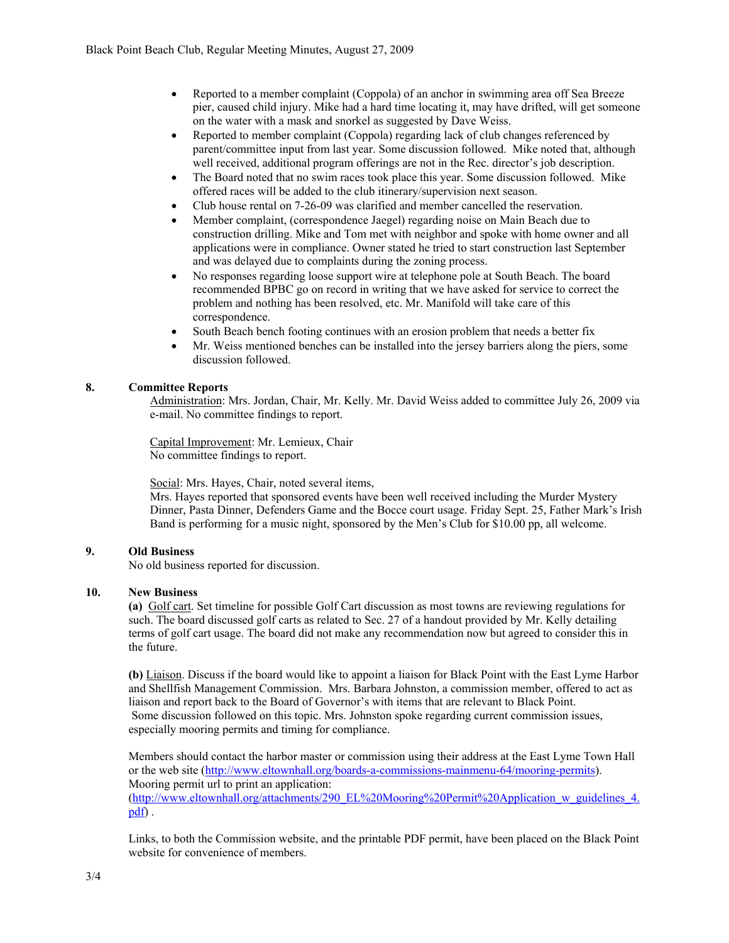- Reported to a member complaint (Coppola) of an anchor in swimming area off Sea Breeze pier, caused child injury. Mike had a hard time locating it, may have drifted, will get someone on the water with a mask and snorkel as suggested by Dave Weiss.
- Reported to member complaint (Coppola) regarding lack of club changes referenced by parent/committee input from last year. Some discussion followed. Mike noted that, although well received, additional program offerings are not in the Rec. director's job description.
- The Board noted that no swim races took place this year. Some discussion followed. Mike offered races will be added to the club itinerary/supervision next season.
- Club house rental on 7-26-09 was clarified and member cancelled the reservation.
- Member complaint, (correspondence Jaegel) regarding noise on Main Beach due to construction drilling. Mike and Tom met with neighbor and spoke with home owner and all applications were in compliance. Owner stated he tried to start construction last September and was delayed due to complaints during the zoning process.
- No responses regarding loose support wire at telephone pole at South Beach. The board recommended BPBC go on record in writing that we have asked for service to correct the problem and nothing has been resolved, etc. Mr. Manifold will take care of this correspondence.
- South Beach bench footing continues with an erosion problem that needs a better fix
- Mr. Weiss mentioned benches can be installed into the jersey barriers along the piers, some discussion followed.

## **8. Committee Reports**

Administration: Mrs. Jordan, Chair, Mr. Kelly. Mr. David Weiss added to committee July 26, 2009 via e-mail. No committee findings to report.

Capital Improvement: Mr. Lemieux, Chair No committee findings to report.

Social: Mrs. Hayes, Chair, noted several items,

Mrs. Hayes reported that sponsored events have been well received including the Murder Mystery Dinner, Pasta Dinner, Defenders Game and the Bocce court usage. Friday Sept. 25, Father Mark's Irish Band is performing for a music night, sponsored by the Men's Club for \$10.00 pp, all welcome.

# **9. Old Business**

No old business reported for discussion.

### **10. New Business**

**(a)** Golf cart. Set timeline for possible Golf Cart discussion as most towns are reviewing regulations for such. The board discussed golf carts as related to Sec. 27 of a handout provided by Mr. Kelly detailing terms of golf cart usage. The board did not make any recommendation now but agreed to consider this in the future.

**(b)** Liaison. Discuss if the board would like to appoint a liaison for Black Point with the East Lyme Harbor and Shellfish Management Commission. Mrs. Barbara Johnston, a commission member, offered to act as liaison and report back to the Board of Governor's with items that are relevant to Black Point. Some discussion followed on this topic. Mrs. Johnston spoke regarding current commission issues, especially mooring permits and timing for compliance.

Members should contact the harbor master or commission using their address at the East Lyme Town Hall or the web site (http://www.eltownhall.org/boards-a-commissions-mainmenu-64/mooring-permits). Mooring permit url to print an application: (http://www.eltownhall.org/attachments/290\_EL%20Mooring%20Permit%20Application\_w\_guidelines\_4. pdf) .

Links, to both the Commission website, and the printable PDF permit, have been placed on the Black Point website for convenience of members.